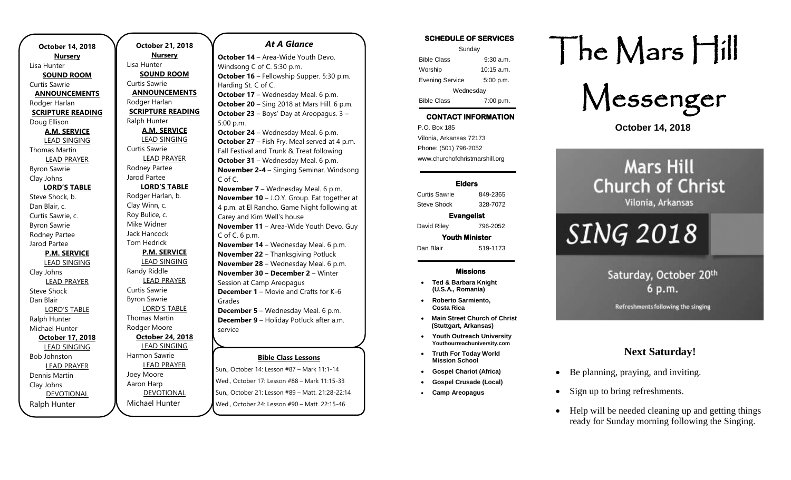**October 14, 2018 Nursery** Lisa Hunter **SOUND ROOM** Curtis Sawrie **ANNOUNCEMENTS** Rodger Harlan **SCRIPTURE READING** Doug Ellison **A.M. SERVICE** LEAD SINGING Thomas Martin LEAD PRAYER Byron Sawrie Clay Johns **LORD'S TABLE** Steve Shock, b. Dan Blair, c. Curtis Sawrie, c. Byron Sawrie Rodney Partee Jarod Partee **P.M. SERVICE** LEAD SINGING Clay Johns LEAD PRAYER Steve Shock Dan Blair LORD'S TABLE Ralph Hunter Michael Hunter **October 17, 2018** LEAD SINGING Bob Johnston LEAD PRAYER Dennis Martin Clay Johns DEVOTIONAL Ralph Hunter

**October 21, 2018 Nursery** Lisa Hunter **SOUND ROOM** Curtis Sawrie **ANNOUNCEMENTS** Rodger Harlan **SCRIPTURE READING** Ralph Hunter **A.M. SERVICE** LEAD SINGING Curtis Sawrie LEAD PRAYER Rodney Partee Jarod Partee **LORD'S TABLE** Rodger Harlan, b. Clay Winn, c. Roy Bulice, c. Mike Widner Jack Hancock Tom Hedrick **P.M. SERVICE** LEAD SINGING Randy Riddle LEAD PRAYER Curtis Sawrie Byron Sawrie LORD'S TABLE Thomas Martin Rodger Moore **October 24, 2018** LEAD SINGING Harmon Sawrie LEAD PRAYER Joey Moore Aaron Harp DEVOTIONAL

Michael Hunter

#### *At A Glance*

**October 14** – Area-Wide Youth Devo. Windsong C of C. 5:30 p.m. **October 16** – Fellowship Supper. 5:30 p.m. Harding St. C of C. **October 17** – Wednesday Meal. 6 p.m. **October 20** – Sing 2018 at Mars Hill. 6 p.m. **October 23** – Boys' Day at Areopagus. 3 – 5:00 p.m. **October 24** – Wednesday Meal. 6 p.m. **October 27** – Fish Fry. Meal served at 4 p.m. Fall Festival and Trunk & Treat following **October 31** – Wednesday Meal. 6 p.m. **November 2-4** – Singing Seminar. Windsong C of C. **November 7** – Wednesday Meal. 6 p.m. **November 10** – J.O.Y. Group. Eat together at 4 p.m. at El Rancho. Game Night following at Carey and Kim Well's house **November 11** – Area-Wide Youth Devo. Guy C of C. 6 p.m. **November 14** – Wednesday Meal. 6 p.m. **November 22 – Thanksgiving Potluck November 28** – Wednesday Meal. 6 p.m. **November 30 – December 2** – Winter Session at Camp Areopagus **December 1** – Movie and Crafts for K-6 Grades **December 5** – Wednesday Meal. 6 p.m. **December 9** – Holiday Potluck after a.m. service **December 9** – Area-Wide Youth Devo.

## **Bible Class Lessons**

Sun., October 14: Lesson #87 - Mark 11:1-14 Wed., October 17: Lesson #88 – Mark 11:15-33 Sun., October 21: Lesson #89 – Matt. 21:28-22:14 Wed., October 24: Lesson #90 – Matt. 22:15-46

## **SCHEDULE OF SERVICES**

| Sunday                 |              |
|------------------------|--------------|
| <b>Bible Class</b>     | $9:30$ a.m.  |
| Worship                | $10:15$ a.m. |
| <b>Evening Service</b> | 5:00 p.m.    |
| Wednesday              |              |
| <b>Bible Class</b>     | 7:00 p.m.    |

## **CONTACT INFORMATION**

. .o. Box 166<br>Vilonia, Arkansas 72173 P.O. Box 185 Phone: (501) 796-2052 www.churchofchristmarshill.org

### **Elders**

Curtis Sawrie 849-2365 Steve Shock 328-7072

**Evangelist**  David Riley 796-2052

**Youth Minister**  Dan Blair 519-1173

### **Missions**

- **Ted & Barbara Knight (U.S.A., Romania)**
- **Roberto Sarmiento, Costa Rica**
- **Main Street Church of Christ (Stuttgart, Arkansas)**
- **Youth Outreach University Youthourreachuniversity.com**
- **Truth For Today World Mission School**
- **Gospel Chariot (Africa)**
- **Gospel Crusade (Local)**
- **Camp Areopagus**

# The Mars Hill



**October 14, 2018**

# **Mars Hill Church of Christ** Vilonia, Arkansas

# **SING 2018**

Saturday, October 20th 6 p.m.

Refreshments following the singing

# **Next Saturday!**

- Be planning, praying, and inviting.
- Sign up to bring refreshments.
- Help will be needed cleaning up and getting things ready for Sunday morning following the Singing.